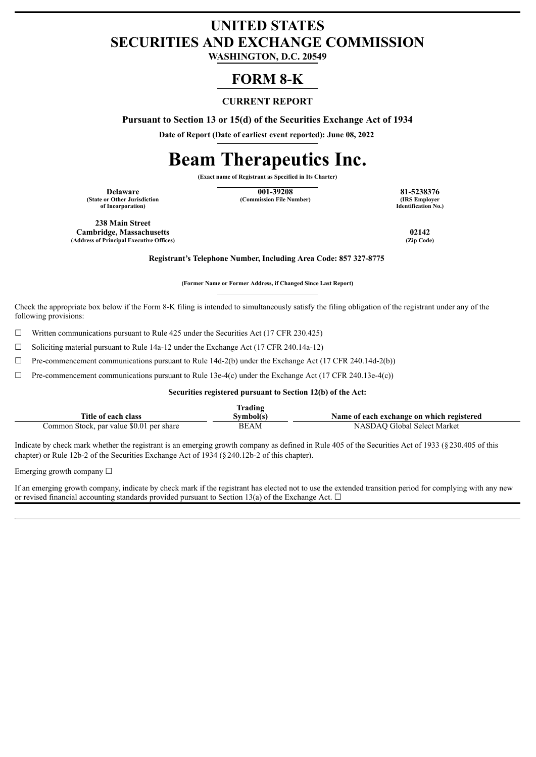## **UNITED STATES SECURITIES AND EXCHANGE COMMISSION**

**WASHINGTON, D.C. 20549**

### **FORM 8-K**

#### **CURRENT REPORT**

**Pursuant to Section 13 or 15(d) of the Securities Exchange Act of 1934**

**Date of Report (Date of earliest event reported): June 08, 2022**

# **Beam Therapeutics Inc.**

**(Exact name of Registrant as Specified in Its Charter)**

**(State or Other Jurisdiction of Incorporation)**

**Delaware 001-39208 81-5238376**<br> **101-39208 81-5238376**<br> **102-39208 81-5238376**<br> **103-82208 81-5238376 (Commission File Number)** 

**Identification No.)**

**238 Main Street Cambridge, Massachusetts 02142 (Address of Principal Executive Offices)** 

**Registrant's Telephone Number, Including Area Code: 857 327-8775**

**(Former Name or Former Address, if Changed Since Last Report)**

Check the appropriate box below if the Form 8-K filing is intended to simultaneously satisfy the filing obligation of the registrant under any of the following provisions:

 $\Box$  Written communications pursuant to Rule 425 under the Securities Act (17 CFR 230.425)

☐ Soliciting material pursuant to Rule 14a-12 under the Exchange Act (17 CFR 240.14a-12)

 $\Box$  Pre-commencement communications pursuant to Rule 14d-2(b) under the Exchange Act (17 CFR 240.14d-2(b))

 $\Box$  Pre-commencement communications pursuant to Rule 13e-4(c) under the Exchange Act (17 CFR 240.13e-4(c))

#### **Securities registered pursuant to Section 12(b) of the Act:**

| Trading                                  |             |                                           |  |
|------------------------------------------|-------------|-------------------------------------------|--|
| <b>Title of each class</b>               | Svmbol(s)   | Name of each exchange on which registered |  |
| Common Stock, par value \$0.01 per share | <b>BEAM</b> | NASDAO Global Select Market               |  |

Indicate by check mark whether the registrant is an emerging growth company as defined in Rule 405 of the Securities Act of 1933 (§230.405 of this chapter) or Rule 12b-2 of the Securities Exchange Act of 1934 (§240.12b-2 of this chapter).

Emerging growth company  $\Box$ 

If an emerging growth company, indicate by check mark if the registrant has elected not to use the extended transition period for complying with any new or revised financial accounting standards provided pursuant to Section 13(a) of the Exchange Act.  $\Box$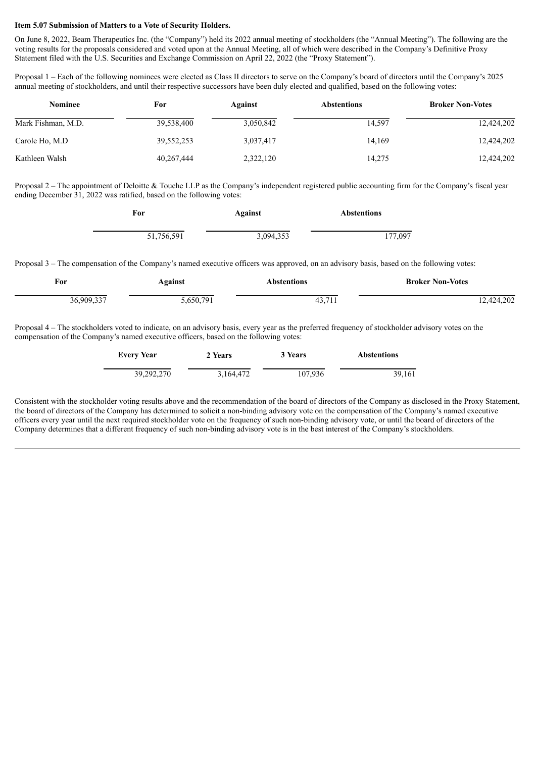#### **Item 5.07 Submission of Matters to a Vote of Security Holders.**

On June 8, 2022, Beam Therapeutics Inc. (the "Company") held its 2022 annual meeting of stockholders (the "Annual Meeting"). The following are the voting results for the proposals considered and voted upon at the Annual Meeting, all of which were described in the Company's Definitive Proxy Statement filed with the U.S. Securities and Exchange Commission on April 22, 2022 (the "Proxy Statement").

Proposal 1 – Each of the following nominees were elected as Class II directors to serve on the Company's board of directors until the Company's 2025 annual meeting of stockholders, and until their respective successors have been duly elected and qualified, based on the following votes:

| <b>Nominee</b>     | For        | Against   | <b>Abstentions</b> | <b>Broker Non-Votes</b> |
|--------------------|------------|-----------|--------------------|-------------------------|
| Mark Fishman, M.D. | 39,538,400 | 3,050,842 | 14.597             | 12,424,202              |
| Carole Ho, M.D     | 39,552,253 | 3,037,417 | 14.169             | 12,424,202              |
| Kathleen Walsh     | 40,267,444 | 2,322,120 | 14,275             | 12,424,202              |

Proposal 2 – The appointment of Deloitte & Touche LLP as the Company's independent registered public accounting firm for the Company's fiscal year ending December  $31$ , 2022 was ratified, based on the following votes:

| For        | Against   | <b>Abstentions</b> |  |
|------------|-----------|--------------------|--|
| 51,756,591 | 3,094,353 | 177,097            |  |

Proposal 3 – The compensation of the Company's named executive officers was approved, on an advisory basis, based on the following votes:

| For        | Against  | <b>\bstentions</b> | <b>Broker Non-Votes</b> |
|------------|----------|--------------------|-------------------------|
| 36,909,337 | .650,791 | 12.711<br>79,711   | 12,424,202              |

Proposal 4 – The stockholders voted to indicate, on an advisory basis, every year as the preferred frequency of stockholder advisory votes on the compensation of the Company's named executive officers, based on the following votes:

| <b>Every Year</b> | 2 Years   | 3 Years | <b>Abstentions</b> |
|-------------------|-----------|---------|--------------------|
| 39,292,270        | 3,164,472 | 107,936 | 39.161             |

Consistent with the stockholder voting results above and the recommendation of the board of directors of the Company as disclosed in the Proxy Statement, the board of directors of the Company has determined to solicit a non-binding advisory vote on the compensation of the Company's named executive officers every year until the next required stockholder vote on the frequency of such non-binding advisory vote, or until the board of directors of the Company determines that a different frequency of such non-binding advisory vote is in the best interest of the Company's stockholders.